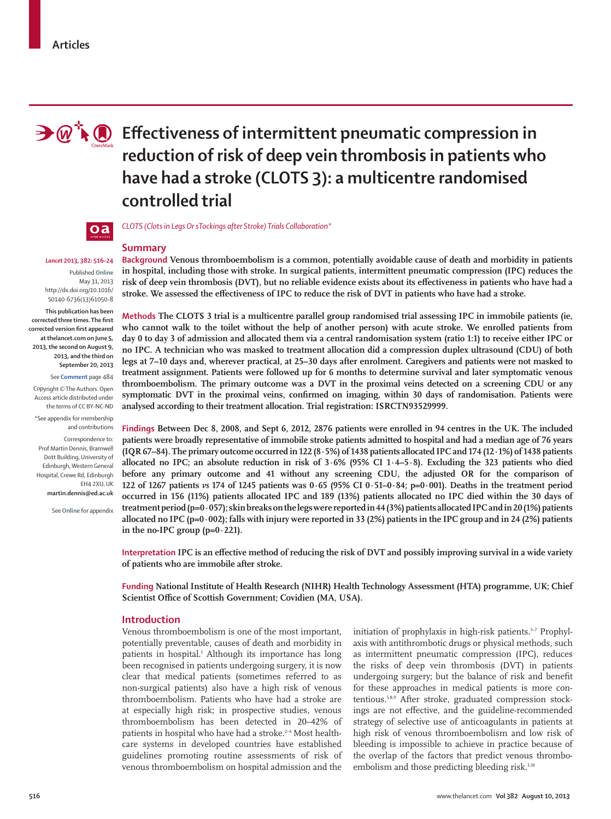

# **Effectiveness of intermittent pneumatic compression in reduction of risk of deep vein thrombosis in patients who have had a stroke (CLOTS 3): a multicentre randomised controlled trial**



#### *CLOTS (Clots in Legs Or sTockings after Stroke) Trials Collaboration\**

# *Lancet* **2013, 382: 516–24**

Published **Online** May 31, 2013 http://dx.doi.org/10.1016/ S0140-6736(13)61050-8

**This publication has been**  corrected three times. The first **corrected version fi rst appeared at thelancet.com on June 5, 2013, the second on August 9, 2013, and the third on September 20, 2013**

See **Comment** page 484

Copyright © The Authors. Open Access article distributed under the terms of CC BY-NC-ND

\*See appendix for membership and contributions

Correspondence to: Prof Martin Dennis, Bramwell Dott Building, University of Edinburgh, Western General Hospital, Crewe Rd, Edinburgh EH4 2XU, UK **martin.dennis@ed.ac.uk** 

See **Online** for appendix

**Summary** 

**Background Venous thromboembolism is a common, potentially avoidable cause of death and morbidity in patients in hospital, including those with stroke. In surgical patients, intermittent pneumatic compression (IPC) reduces the**  risk of deep vein thrombosis (DVT), but no reliable evidence exists about its effectiveness in patients who have had a stroke. We assessed the effectiveness of IPC to reduce the risk of DVT in patients who have had a stroke.

**Methods The CLOTS 3 trial is a multicentre parallel group randomised trial assessing IPC in immobile patients (ie, who cannot walk to the toilet without the help of another person) with acute stroke. We enrolled patients from day 0 to day 3 of admission and allocated them via a central randomisation system (ratio 1:1) to receive either IPC or no IPC. A technician who was masked to treatment allocation did a compression duplex ultrasound (CDU) of both legs at 7–10 days and, wherever practical, at 25–30 days after enrolment. Caregivers and patients were not masked to treatment assignment. Patients were followed up for 6 months to determine survival and later symptomatic venous thromboembolism. The primary outcome was a DVT in the proximal veins detected on a screening CDU or any**  symptomatic DVT in the proximal veins, confirmed on imaging, within 30 days of randomisation. Patients were **analysed according to their treatment allocation. Trial registration: ISRCTN93529999.** 

**Findings Between Dec 8, 2008, and Sept 6, 2012, 2876 patients were enrolled in 94 centres in the UK. The included patients were broadly representative of immobile stroke patients admitted to hospital and had a median age of 76 years (IQR 67–84). The primary outcome occurred in 122 (8∙5%) of 1438 patients allocated IPC and 174 (12∙1%) of 1438 patients allocated no IPC; an absolute reduction in risk of 3∙6% (95% CI 1∙4–5∙8). Excluding the 323 patients who died before any primary outcome and 41 without any screening CDU, the adjusted OR for the comparison of 122 of 1267 patients** *vs* **174 of 1245 patients was 0·65 (95% CI 0·51–0·84; p=0∙001). Deaths in the treatment period occurred in 156 (11%) patients allocated IPC and 189 (13%) patients allocated no IPC died within the 30 days of treatment period (p=0·057); skin breaks on the legs were reported in 44 (3%) patients allocated IPC and in 20 (1%) patients allocated no IPC (p=0∙002); falls with injury were reported in 33 (2%) patients in the IPC group and in 24 (2%) patients in the no-IPC group (p=0·221).**

**Interpretation** IPC is an effective method of reducing the risk of DVT and possibly improving survival in a wide variety **of patients who are immobile after stroke.** 

**Funding National Institute of Health Research (NIHR) Health Technology Assessment (HTA) programme, UK; Chief**  Scientist Office of Scottish Government; Covidien (MA, USA).

### **Introduction**

Venous thromboembolism is one of the most important, potentially preventable, causes of death and morbidity in patients in hospital.1 Although its importance has long been recognised in patients undergoing surgery, it is now clear that medical patients (sometimes referred to as non-surgical patients) also have a high risk of venous thromboembolism. Patients who have had a stroke are at especially high risk; in prospective studies, venous thromboembolism has been detected in 20-42% of patients in hospital who have had a stroke.<sup>2-4</sup> Most healthcare systems in developed countries have established guidelines promoting routine assessments of risk of venous thromboembolism on hospital admission and the

initiation of prophylaxis in high-risk patients.<sup>5-7</sup> Prophylaxis with antithrombotic drugs or physical methods, such as intermittent pneumatic compression (IPC), reduces the risks of deep vein thrombosis (DVT) in patients undergoing surgery; but the balance of risk and benefit for these approaches in medical patients is more contentious.5,8,9 After stroke, graduated compression stockings are not effective, and the guideline-recommended strategy of selective use of anticoagulants in patients at high risk of venous thromboembolism and low risk of bleeding is impossible to achieve in practice because of the overlap of the factors that predict venous thromboembolism and those predicting bleeding risk.<sup>3,10</sup>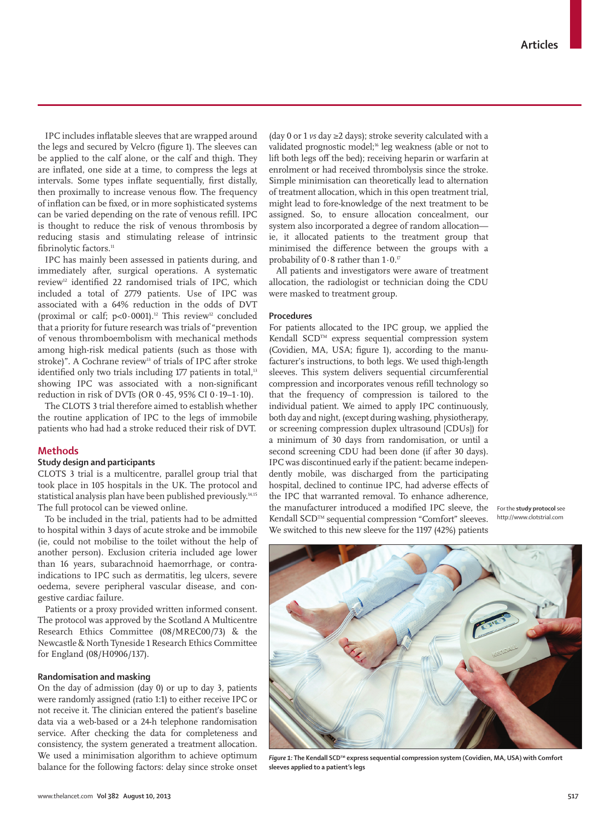IPC includes inflatable sleeves that are wrapped around the legs and secured by Velcro (figure 1). The sleeves can be applied to the calf alone, or the calf and thigh. They are inflated, one side at a time, to compress the legs at intervals. Some types inflate sequentially, first distally, then proximally to increase venous flow. The frequency of inflation can be fixed, or in more sophisticated systems can be varied depending on the rate of venous refill. IPC is thought to reduce the risk of venous thrombosis by reducing stasis and stimulating release of intrinsic fibrinolytic factors.<sup>11</sup>

IPC has mainly been assessed in patients during, and immediately after, surgical operations. A systematic review<sup>12</sup> identified 22 randomised trials of IPC, which included a total of 2779 patients. Use of IPC was associated with a 64% reduction in the odds of DVT (proximal or calf;  $p<0.0001$ ).<sup>12</sup> This review<sup>12</sup> concluded that a priority for future research was trials of "prevention of venous thromboembolism with mechanical methods among high-risk medical patients (such as those with stroke)". A Cochrane review<sup>13</sup> of trials of IPC after stroke identified only two trials including 177 patients in total,<sup>13</sup> showing IPC was associated with a non-significant reduction in risk of DVTs (OR 0∙45, 95% CI 0∙19–1∙10).

The CLOTS 3 trial therefore aimed to establish whether the routine application of IPC to the legs of immobile patients who had had a stroke reduced their risk of DVT.

# **Methods**

# **Study design and participants**

CLOTS 3 trial is a multicentre, parallel group trial that took place in 105 hospitals in the UK. The protocol and statistical analysis plan have been published previously.<sup>14,15</sup> The full protocol can be viewed online.

To be included in the trial, patients had to be admitted to hospital within 3 days of acute stroke and be immobile (ie, could not mobilise to the toilet without the help of another person). Exclusion criteria included age lower than 16 years, subarachnoid haemorrhage, or contraindications to IPC such as dermatitis, leg ulcers, severe oedema, severe peripheral vascular disease, and congestive cardiac failure.

Patients or a proxy provided written informed consent. The protocol was approved by the Scotland A Multicentre Research Ethics Committee (08/MREC00/73) & the Newcastle & North Tyneside 1 Research Ethics Committee for England (08/H0906/137).

### **Randomisation and masking**

On the day of admission (day 0) or up to day 3, patients were randomly assigned (ratio 1:1) to either receive IPC or not receive it. The clinician entered the patient's baseline data via a web-based or a 24-h telephone randomisation service. After checking the data for completeness and consistency, the system generated a treatment allocation. We used a minimisation algorithm to achieve optimum balance for the following factors: delay since stroke onset (day 0 or 1 *vs* day ≥2 days); stroke severity calculated with a validated prognostic model;<sup>16</sup> leg weakness (able or not to lift both legs off the bed); receiving heparin or warfarin at enrolment or had received thrombolysis since the stroke. Simple minimisation can theoretically lead to alternation of treatment allocation, which in this open treatment trial, might lead to fore-knowledge of the next treatment to be assigned. So, to ensure allocation concealment, our system also incorporated a degree of random allocation ie, it allocated patients to the treatment group that minimised the difference between the groups with a probability of 0∙8 rather than 1∙0.17

All patients and investigators were aware of treatment allocation, the radiologist or technician doing the CDU were masked to treatment group.

## **Procedures**

For patients allocated to the IPC group, we applied the Kendall SCD™ express sequential compression system (Covidien, MA, USA; figure 1), according to the manufacturer's instructions, to both legs. We used thigh-length sleeves. This system delivers sequential circumferential compression and incorporates venous refill technology so that the frequency of compression is tailored to the individual patient. We aimed to apply IPC continuously, both day and night, (except during washing, physiotherapy, or screening compression duplex ultrasound [CDUs]) for a minimum of 30 days from randomisation, or until a second screening CDU had been done (if after 30 days). IPC was discontinued early if the patient: became independently mobile, was discharged from the participating hospital, declined to continue IPC, had adverse effects of the IPC that warranted removal. To enhance adherence, the manufacturer introduced a modified IPC sleeve, the Kendall SCD™ sequential compression "Comfort" sleeves. We switched to this new sleeve for the 1197 (42%) patients

For the **study protocol** see http://www.clotstrial.com



*Figure 1:* The Kendall SCD™ express sequential compression system (Covidien, MA, USA) with Comfort **sleeves applied to a patient's legs**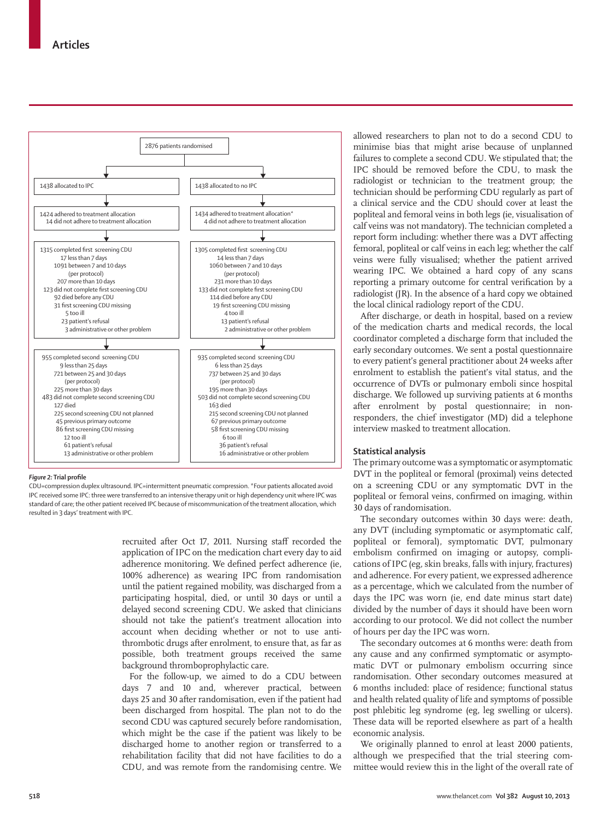

#### **Figure 2:** Trial profile

CDU=compression duplex ultrasound. IPC=intermittent pneumatic compression. \*Four patients allocated avoid IPC received some IPC: three were transferred to an intensive therapy unit or high dependency unit where IPC was standard of care; the other patient received IPC because of miscommunication of the treatment allocation, which resulted in 3 days' treatment with IPC.

> recruited after Oct 17, 2011. Nursing staff recorded the application of IPC on the medication chart every day to aid adherence monitoring. We defined perfect adherence (ie, 100% adherence) as wearing IPC from randomisation until the patient regained mobility, was discharged from a participating hospital, died, or until 30 days or until a delayed second screening CDU. We asked that clinicians should not take the patient's treatment allocation into account when deciding whether or not to use antithrombotic drugs after enrolment, to ensure that, as far as possible, both treatment groups received the same background thromboprophylactic care.

> For the follow-up, we aimed to do a CDU between days 7 and 10 and, wherever practical, between days 25 and 30 after randomisation, even if the patient had been discharged from hospital. The plan not to do the second CDU was captured securely before randomisation, which might be the case if the patient was likely to be discharged home to another region or transferred to a rehabilitation facility that did not have facilities to do a CDU, and was remote from the randomising centre. We

allowed researchers to plan not to do a second CDU to minimise bias that might arise because of unplanned failures to complete a second CDU. We stipulated that; the IPC should be removed before the CDU, to mask the radiologist or technician to the treatment group; the technician should be performing CDU regularly as part of a clinical service and the CDU should cover at least the popliteal and femoral veins in both legs (ie, visualisation of calf veins was not mandatory). The technician completed a report form including: whether there was a DVT affecting femoral, popliteal or calf veins in each leg; whether the calf veins were fully visualised; whether the patient arrived wearing IPC. We obtained a hard copy of any scans reporting a primary outcome for central verification by a radiologist (JR). In the absence of a hard copy we obtained the local clinical radiology report of the CDU.

After discharge, or death in hospital, based on a review of the medication charts and medical records, the local coordinator completed a discharge form that included the early secondary outcomes. We sent a postal questionnaire to every patient's general practitioner about 24 weeks after enrolment to establish the patient's vital status, and the occurrence of DVTs or pulmonary emboli since hospital discharge. We followed up surviving patients at 6 months after enrolment by postal questionnaire; in nonresponders, the chief investigator (MD) did a telephone interview masked to treatment allocation.

# **Statistical analysis**

The primary outcome was a symptomatic or asymptomatic DVT in the popliteal or femoral (proximal) veins detected on a screening CDU or any symptomatic DVT in the popliteal or femoral veins, confirmed on imaging, within 30 days of randomisation.

The secondary outcomes within 30 days were: death, any DVT (including symptomatic or asymptomatic calf, popliteal or femoral), symptomatic DVT, pulmonary embolism confirmed on imaging or autopsy, complications of IPC (eg, skin breaks, falls with injury, fractures) and adherence. For every patient, we expressed adherence as a percentage, which we calculated from the number of days the IPC was worn (ie, end date minus start date) divided by the number of days it should have been worn according to our protocol. We did not collect the number of hours per day the IPC was worn.

The secondary outcomes at 6 months were: death from any cause and any confirmed symptomatic or asymptomatic DVT or pulmonary embolism occurring since randomisation. Other secondary outcomes measured at 6 months included: place of residence; functional status and health related quality of life and symptoms of possible post phlebitic leg syndrome (eg, leg swelling or ulcers). These data will be reported elsewhere as part of a health economic analysis.

We originally planned to enrol at least 2000 patients, although we prespecified that the trial steering committee would review this in the light of the overall rate of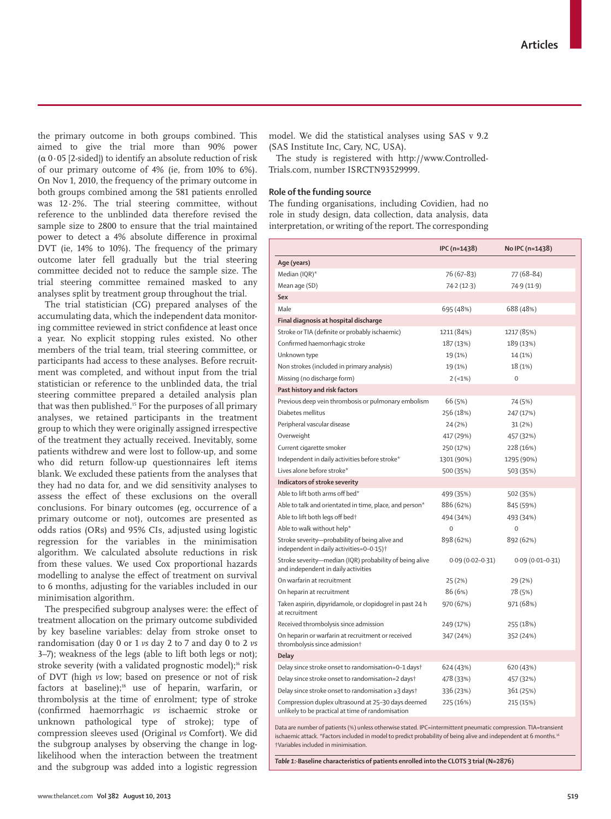the primary outcome in both groups combined. This aimed to give the trial more than 90% power (α 0∙05 [2-sided]) to identify an absolute reduction of risk of our primary outcome of 4% (ie, from 10% to 6%). On Nov 1, 2010, the frequency of the primary outcome in both groups combined among the 581 patients enrolled was 12∙2%. The trial steering committee, without reference to the unblinded data therefore revised the sample size to 2800 to ensure that the trial maintained power to detect a 4% absolute difference in proximal DVT (ie, 14% to 10%). The frequency of the primary outcome later fell gradually but the trial steering committee decided not to reduce the sample size. The trial steering committee remained masked to any analyses split by treatment group throughout the trial.

The trial statistician (CG) prepared analyses of the accumulating data, which the independent data monitoring committee reviewed in strict confidence at least once a year. No explicit stopping rules existed. No other members of the trial team, trial steering committee, or participants had access to these analyses. Before recruitment was completed, and without input from the trial statistician or reference to the unblinded data, the trial steering committee prepared a detailed analysis plan that was then published.15 For the purposes of all primary analyses, we retained participants in the treatment group to which they were originally assigned irrespective of the treatment they actually received. Inevitably, some patients withdrew and were lost to follow-up, and some who did return follow-up questionnaires left items blank. We excluded these patients from the analyses that they had no data for, and we did sensitivity analyses to assess the effect of these exclusions on the overall conclusions. For binary outcomes (eg, occurrence of a primary outcome or not), outcomes are presented as odds ratios (ORs) and 95% CIs, adjusted using logistic regression for the variables in the minimisation algorithm. We calculated absolute reductions in risk from these values. We used Cox proportional hazards modelling to analyse the effect of treatment on survival to 6 months, adjusting for the variables included in our minimisation algorithm.

The prespecified subgroup analyses were: the effect of treatment allocation on the primary outcome subdivided by key baseline variables: delay from stroke onset to random isation (day 0 or 1 *vs* day 2 to 7 and day 0 to 2 *vs* 3–7); weakness of the legs (able to lift both legs or not); stroke severity (with a validated prognostic model);<sup>16</sup> risk of DVT (high *vs* low; based on presence or not of risk factors at baseline);<sup>18</sup> use of heparin, warfarin, or thrombolysis at the time of enrolment; type of stroke (confi rmed haemorrhagic *vs* ischaemic stroke or unknown pathological type of stroke); type of compression sleeves used (Original *vs* Comfort). We did the subgroup analyses by observing the change in loglikelihood when the interaction between the treatment and the subgroup was added into a logistic regression

model. We did the statistical analyses using SAS v 9.2 (SAS Institute Inc, Cary, NC, USA).

The study is registered with http://www.Controlled-Trials.com, number ISRCTN93529999*.*

#### **Role of the funding source**

The funding organisations, including Covidien, had no role in study design, data collection, data analysis, data interpretation, or writing of the report. The corresponding

|                                                                                                         | $IPC( n=1438)$      | No IPC (n=1438)     |
|---------------------------------------------------------------------------------------------------------|---------------------|---------------------|
| Age (years)                                                                                             |                     |                     |
| Median (IQR)*                                                                                           | 76 (67–83)          | 77 (68-84)          |
| Mean age (SD)                                                                                           | 74.2 (12.3)         | 74.9(11.9)          |
| Sex                                                                                                     |                     |                     |
| Male                                                                                                    | 695 (48%)           | 688 (48%)           |
| Final diagnosis at hospital discharge                                                                   |                     |                     |
| Stroke or TIA (definite or probably ischaemic)                                                          | 1211 (84%)          | 1217 (85%)          |
| Confirmed haemorrhagic stroke                                                                           | 187 (13%)           | 189 (13%)           |
| Unknown type                                                                                            | 19 (1%)             | 14 (1%)             |
| Non strokes (included in primary analysis)                                                              | 19 (1%)             | 18 (1%)             |
| Missing (no discharge form)                                                                             | $2(-1%)$            | $\mathbf 0$         |
| Past history and risk factors                                                                           |                     |                     |
| Previous deep vein thrombosis or pulmonary embolism                                                     | 66 (5%)             | 74 (5%)             |
| Diabetes mellitus                                                                                       | 256 (18%)           | 247 (17%)           |
| Peripheral vascular disease                                                                             | 24 (2%)             | 31(2%)              |
| Overweight                                                                                              | 417 (29%)           | 457 (32%)           |
| Current cigarette smoker                                                                                | 250 (17%)           | 228 (16%)           |
| Independent in daily activities before stroke*                                                          | 1301 (90%)          | 1295 (90%)          |
| Lives alone before stroke*                                                                              | 500 (35%)           | 503 (35%)           |
| Indicators of stroke severity                                                                           |                     |                     |
| Able to lift both arms off bed*                                                                         | 499 (35%)           | 502 (35%)           |
| Able to talk and orientated in time, place, and person*                                                 | 886 (62%)           | 845 (59%)           |
| Able to lift both legs off bed†                                                                         | 494 (34%)           | 493 (34%)           |
| Able to walk without help*                                                                              | $\mathbf{0}$        | $\mathbf 0$         |
| Stroke severity-probability of being alive and<br>independent in daily activities=0-0-15) <sup>+</sup>  | 898 (62%)           | 892 (62%)           |
| Stroke severity-median (IQR) probability of being alive<br>and independent in daily activities          | $0.09(0.02 - 0.31)$ | $0.09(0.01 - 0.31)$ |
| On warfarin at recruitment                                                                              | 25(2%)              | 29 (2%)             |
| On heparin at recruitment                                                                               | 86 (6%)             | 78 (5%)             |
| Taken aspirin, dipyridamole, or clopidogrel in past 24 h<br>at recruitment                              | 970 (67%)           | 971 (68%)           |
| Received thrombolysis since admission                                                                   | 249 (17%)           | 255 (18%)           |
| On heparin or warfarin at recruitment or received<br>thrombolysis since admission†                      | 347 (24%)           | 352 (24%)           |
| Delay                                                                                                   |                     |                     |
| Delay since stroke onset to randomisation=0-1 days†                                                     | 624 (43%)           | 620 (43%)           |
| Delay since stroke onset to randomisation=2 dayst                                                       | 478 (33%)           | 457 (32%)           |
| Delay since stroke onset to randomisation ≥3 days†                                                      | 336 (23%)           | 361 (25%)           |
| Compression duplex ultrasound at 25-30 days deemed<br>unlikely to be practical at time of randomisation | 225 (16%)           | 215 (15%)           |

Data are number of patients (%) unless otherwise stated. IPC=intermittent pneumatic compression. TIA=transient ischaemic attack. \*Factors included in model to predict probability of being alive and independent at 6 months.<sup>16</sup> †Variables included in minimisation.

*Table 1:·***Baseline characteristics of patients enrolled into the CLOTS 3 trial (N=2876)**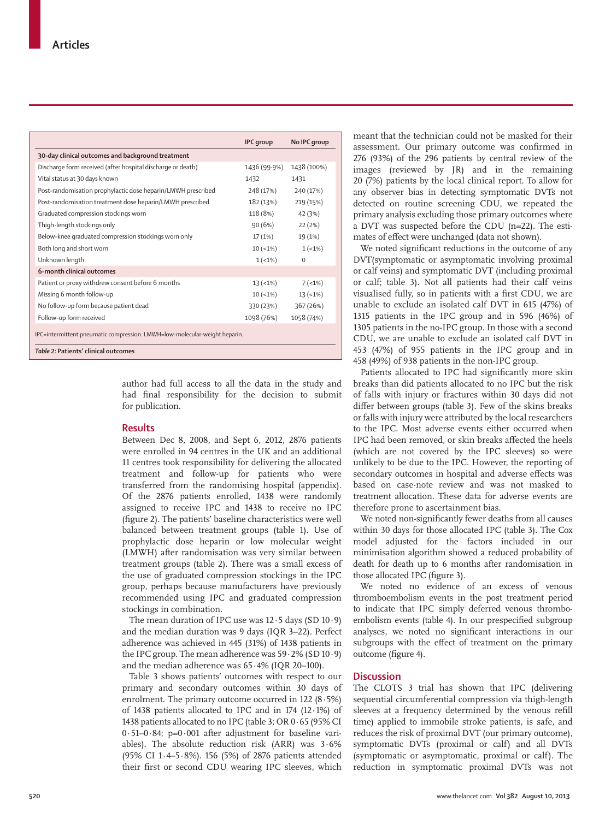|                                                                            | <b>IPC</b> group | No IPC group |  |  |  |
|----------------------------------------------------------------------------|------------------|--------------|--|--|--|
| 30-day clinical outcomes and background treatment                          |                  |              |  |  |  |
| Discharge form received (after hospital discharge or death)                | 1436 (99.9%)     | 1438 (100%)  |  |  |  |
| Vital status at 30 days known                                              | 1432             | 1431         |  |  |  |
| Post-randomisation prophylactic dose heparin/LMWH prescribed               | 248 (17%)        | 240 (17%)    |  |  |  |
| Post-randomisation treatment dose heparin/LMWH prescribed                  | 182 (13%)        | 219 (15%)    |  |  |  |
| Graduated compression stockings worn                                       | 118 (8%)         | 42 (3%)      |  |  |  |
| Thigh-length stockings only                                                | 90(6%)           | 22(2%)       |  |  |  |
| Below-knee graduated compression stockings worn only                       | 17(1%)           | 19 (1%)      |  |  |  |
| Both long and short worn                                                   | $10 (-1%)$       | $1(-1%)$     |  |  |  |
| Unknown length                                                             | $1(-1%)$         | $\Omega$     |  |  |  |
| 6-month clinical outcomes                                                  |                  |              |  |  |  |
| Patient or proxy withdrew consent before 6 months                          | $13 (-1%)$       | $7(-1%)$     |  |  |  |
| Missing 6 month follow-up                                                  | $10 (-1%)$       | $13 (-1%)$   |  |  |  |
| No follow-up form because patient dead                                     | 330 (23%)        | 367 (26%)    |  |  |  |
| Follow-up form received                                                    | 1098 (76%)       | 1058 (74%)   |  |  |  |
| IPC=intermittent pneumatic compression. LMWH=low-molecular-weight heparin. |                  |              |  |  |  |

*Table 2:* **Patients' clinical outcomes** 

author had full access to all the data in the study and had final responsibility for the decision to submit for publication.

#### **Results**

Between Dec 8, 2008, and Sept 6, 2012, 2876 patients were enrolled in 94 centres in the UK and an additional 11 centres took responsibility for delivering the allocated treatment and follow-up for patients who were transferred from the randomising hospital (appendix). Of the 2876 patients enrolled, 1438 were randomly assigned to receive IPC and 1438 to receive no IPC (figure 2). The patients' baseline characteristics were well balanced between treatment groups (table 1). Use of prophylactic dose heparin or low molecular weight (LMWH) after randomisation was very similar between treatment groups (table 2). There was a small excess of the use of graduated compression stockings in the IPC group, perhaps because manufacturers have previously recommended using IPC and graduated compression stockings in combination.

The mean duration of IPC use was 12∙5 days (SD 10∙9) and the median duration was 9 days (IQR 3–22). Perfect adherence was achieved in 445 (31%) of 1438 patients in the IPC group. The mean adherence was 59∙2% (SD 10∙9) and the median adherence was 65∙4% (IQR 20–100).

Table 3 shows patients' outcomes with respect to our primary and secondary outcomes within 30 days of enrolment. The primary outcome occurred in  $122 (8.5%)$ of 1438 patients allocated to IPC and in 174 (12·1%) of 1438 patients allocated to no IPC (table 3; OR 0·65 (95% CI 0·51–0·84; p=0∙001 after adjustment for baseline variables). The absolute reduction risk (ARR) was 3∙6% (95% CI 1∙4–5∙8%). 156 (5%) of 2876 patients attended their first or second CDU wearing IPC sleeves, which meant that the technician could not be masked for their assessment. Our primary outcome was confirmed in 276 (93%) of the 296 patients by central review of the images (reviewed by JR) and in the remaining 20 (7%) patients by the local clinical report. To allow for any observer bias in detecting symptomatic DVTs not detected on routine screening CDU, we repeated the primary analysis excluding those primary outcomes where a DVT was suspected before the CDU (n=22). The estimates of effect were unchanged (data not shown).

We noted significant reductions in the outcome of any DVT(symptomatic or asymptomatic involving proximal or calf veins) and symptomatic DVT (including proximal or calf; table 3). Not all patients had their calf veins visualised fully, so in patients with a first CDU, we are unable to exclude an isolated calf DVT in 615 (47%) of 1315 patients in the IPC group and in 596 (46%) of 1305 patients in the no-IPC group. In those with a second CDU, we are unable to exclude an isolated calf DVT in 453 (47%) of 955 patients in the IPC group and in 458 (49%) of 938 patients in the non-IPC group.

Patients allocated to IPC had significantly more skin breaks than did patients allocated to no IPC but the risk of falls with injury or fractures within 30 days did not differ between groups (table 3). Few of the skins breaks or falls with injury were attributed by the local researchers to the IPC. Most adverse events either occurred when IPC had been removed, or skin breaks affected the heels (which are not covered by the IPC sleeves) so were unlikely to be due to the IPC. However, the reporting of secondary outcomes in hospital and adverse effects was based on case-note review and was not masked to treatment allocation. These data for adverse events are therefore prone to ascertainment bias.

We noted non-significantly fewer deaths from all causes within 30 days for those allocated IPC (table 3). The Cox model adjusted for the factors included in our minimisation algorithm showed a reduced probability of death for death up to 6 months after randomisation in those allocated IPC (figure 3).

We noted no evidence of an excess of venous thromboembolism events in the post treatment period to indicate that IPC simply deferred venous thromboembolism events (table 4). In our prespecified subgroup analyses, we noted no significant interactions in our subgroups with the effect of treatment on the primary outcome (figure 4).

# **Discussion**

The CLOTS 3 trial has shown that IPC (delivering sequential circumferential compression via thigh-length sleeves at a frequency determined by the venous refill time) applied to immobile stroke patients, is safe, and reduces the risk of proximal DVT (our primary outcome), symptomatic DVTs (proximal or calf) and all DVTs (symptomatic or asymptomatic, proximal or calf). The reduction in symptomatic proximal DVTs was not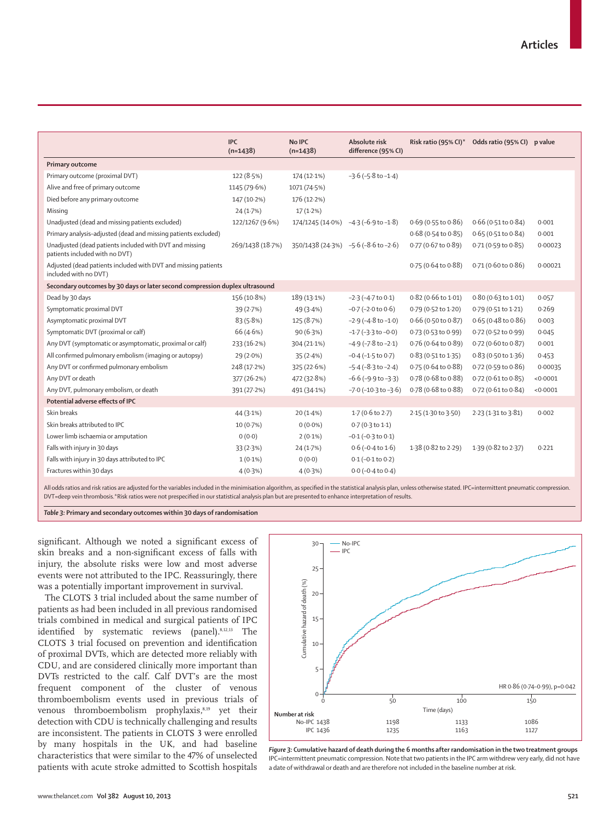|                                                                                           | <b>IPC</b><br>$(n=1438)$ | <b>No IPC</b><br>$(n=1438)$          | Absolute risk<br>difference (95% CI) | Risk ratio (95% CI)*          | Odds ratio (95% CI) p value   |          |
|-------------------------------------------------------------------------------------------|--------------------------|--------------------------------------|--------------------------------------|-------------------------------|-------------------------------|----------|
| <b>Primary outcome</b>                                                                    |                          |                                      |                                      |                               |                               |          |
| Primary outcome (proximal DVT)                                                            | 122(8.5%)                | 174 (12.1%)                          | $-3.6$ ( $-5.8$ to $-1.4$ )          |                               |                               |          |
| Alive and free of primary outcome                                                         | 1145 (79.6%)             | 1071 (74.5%)                         |                                      |                               |                               |          |
| Died before any primary outcome                                                           | 147 (10.2%)              | 176 (12.2%)                          |                                      |                               |                               |          |
| Missing                                                                                   | 24(1.7%)                 | $17(1.2\%)$                          |                                      |                               |                               |          |
| Unadjusted (dead and missing patients excluded)                                           | 122/1267 (9.6%)          | 174/1245 (14.0%) -4.3 (-6.9 to -1.8) |                                      | $0.69$ (0.55 to $0.86$ )      | $0.66$ (0.51 to $0.84$ )      | 0.001    |
| Primary analysis-adjusted (dead and missing patients excluded)                            |                          |                                      |                                      | $0.68$ (0.54 to $0.85$ )      | 0.65 (0.51 to 0.84)           | 0.001    |
| Unadjusted (dead patients included with DVT and missing<br>patients included with no DVT) | 269/1438 (18.7%)         | 350/1438 (24.3%) -5.6 (-8.6 to -2.6) |                                      | 0.77 (0.67 to 0.89)           | 0.71 (0.59 to 0.85)           | 0.00023  |
| Adjusted (dead patients included with DVT and missing patients<br>included with no DVT)   |                          |                                      |                                      | $0.75(0.64 \text{ to } 0.88)$ | 0.71 (0.60 to 0.86)           | 0.00021  |
| Secondary outcomes by 30 days or later second compression duplex ultrasound               |                          |                                      |                                      |                               |                               |          |
| Dead by 30 days                                                                           | 156 (10.8%)              | 189 (13.1%)                          | $-2.3$ ( $-4.7$ to 0.1)              | $0.82$ (0.66 to 1.01)         | $0.80(0.63 \text{ to } 1.01)$ | 0.057    |
| Symptomatic proximal DVT                                                                  | 39(2.7%)                 | 49 (3.4%)                            | $-0.7$ ( $-2.0$ to $0.6$ )           | 0.79 (0.52 to 1.20)           | 0.79 (0.51 to 1.21)           | 0.269    |
| Asymptomatic proximal DVT                                                                 | 83(5.8%)                 | 125 (8.7%)                           | $-2.9$ ( $-4.8$ to $-1.0$ )          | $0.66$ (0.50 to 0.87)         | $0.65(0.48 \text{ to } 0.86)$ | 0.003    |
| Symptomatic DVT (proximal or calf)                                                        | 66 (4.6%)                | 90(6.3%)                             | $-1.7$ ( $-3.3$ to $-0.0$ )          | 0.73 (0.53 to 0.99)           | 0.72 (0.52 to 0.99)           | 0.045    |
| Any DVT (symptomatic or asymptomatic, proximal or calf)                                   | 233 (16.2%)              | 304 (21.1%)                          | $-4.9$ ( $-7.8$ to $-2.1$ )          | 0.76 (0.64 to 0.89)           | 0.72 (0.60 to 0.87)           | 0.001    |
| All confirmed pulmonary embolism (imaging or autopsy)                                     | $29(2.0\%)$              | 35(2.4%)                             | $-0.4$ ( $-1.5$ to $0.7$ )           | $0.83(0.51$ to $1.35)$        | $0.83$ (0.50 to 1.36)         | 0.453    |
| Any DVT or confirmed pulmonary embolism                                                   | 248 (17.2%)              | 325 (22.6%)                          | $-5.4 (-8.3 \text{ to } -2.4)$       | 0.75 (0.64 to 0.88)           | 0.72 (0.59 to 0.86)           | 0.00035  |
| Any DVT or death                                                                          | 377 (26.2%)              | 472 (32.8%)                          | $-6.6$ ( $-9.9$ to $-3.3$ )          | 0.78 (0.68 to 0.88)           | 0.72 (0.61 to 0.85)           | < 0.0001 |
| Any DVT, pulmonary embolism, or death                                                     | 391 (27.2%)              | 491 (34.1%)                          | $-7.0$ ( $-10.3$ to $-3.6$ )         | 0.78 (0.68 to 0.88)           | 0.72 (0.61 to 0.84)           | < 0.0001 |
| Potential adverse effects of IPC                                                          |                          |                                      |                                      |                               |                               |          |
| Skin breaks                                                                               | 44 (3.1%)                | $20(1.4\%)$                          | $1.7(0.6 \text{ to } 2.7)$           | 2.15 (1.30 to 3.50)           | 2.23 (1.31 to 3.81)           | 0.002    |
| Skin breaks attributed to IPC                                                             | $10(0.7\%)$              | $0(0.0\%)$                           | $0.7(0.3 \text{ to } 1.1)$           |                               |                               |          |
| Lower limb ischaemia or amputation                                                        | 0(0.0)                   | $2(0.1\%)$                           | $-0.1$ ( $-0.3$ to $0.1$ )           |                               |                               |          |
| Falls with injury in 30 days                                                              | 33(2.3%)                 | 24 (1.7%)                            | $0.6$ ( $-0.4$ to $1.6$ )            | 1.38 (0.82 to 2.29)           | 1.39 (0.82 to 2.37)           | 0.221    |
| Falls with injury in 30 days attributed to IPC                                            | $1(0.1\%)$               | 0(0.0)                               | $0.1 (-0.1 to 0.2)$                  |                               |                               |          |
| Fractures within 30 days                                                                  | 4(0.3%)                  | $4(0.3\%)$                           | $0.0$ (-0.4 to 0.4)                  |                               |                               |          |

All odds ratios and risk ratios are adjusted for the variables included in the minimisation algorithm, as specified in the statistical analysis plan, unless otherwise stated. IPC=intermittent pneumatic compression DVT=deep vein thrombosis.\*Risk ratios were not prespecified in our statistical analysis plan but are presented to enhance interpretation of results

*Table 3:* **Primary and secondary outcomes within 30 days of randomisation**

significant. Although we noted a significant excess of skin breaks and a non-significant excess of falls with injury, the absolute risks were low and most adverse events were not attributed to the IPC. Reassuringly, there was a potentially important improvement in survival.

The CLOTS 3 trial included about the same number of patients as had been included in all previous randomised trials combined in medical and surgical patients of IPC identified by systematic reviews (panel).<sup>8,12,13</sup> The CLOTS 3 trial focused on prevention and identification of proximal DVTs, which are detected more reliably with CDU, and are considered clinically more important than DVTs restricted to the calf. Calf DVT's are the most frequent component of the cluster of venous thromboembolism events used in previous trials of venous thromboembolism prophylaxis,<sup>8,19</sup> yet their detection with CDU is technically challenging and results are inconsistent. The patients in CLOTS 3 were enrolled by many hospitals in the UK, and had baseline characteristics that were similar to the 47% of unselected patients with acute stroke admitted to Scottish hospitals



*Figure 3:* **Cumulative hazard of death during the 6 months after randomisation in the two treatment groups**  IPC=intermittent pneumatic compression. Note that two patients in the IPC arm withdrew very early, did not have a date of withdrawal or death and are therefore not included in the baseline number at risk.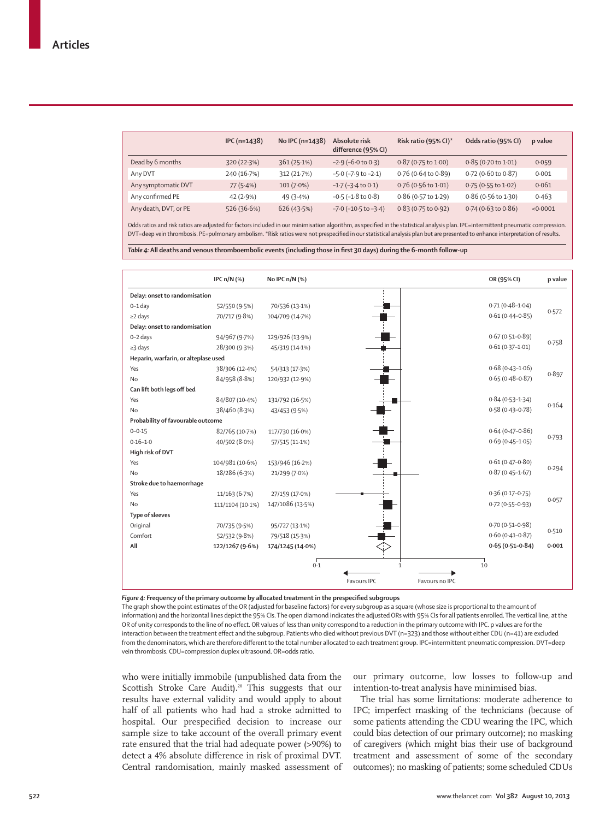|                       | $IPC(n=1438)$ | No IPC $(n=1438)$ | Absolute risk<br>difference (95% CI) | Risk ratio (95% CI)*          | Odds ratio (95% CI)           | p value  |
|-----------------------|---------------|-------------------|--------------------------------------|-------------------------------|-------------------------------|----------|
| Dead by 6 months      | 320 (22.3%)   | 361(25.1%)        | $-2.9$ ( $-6.0$ to 0.3)              | $0.87(0.75 \text{ to } 1.00)$ | $0.85(0.70 \text{ to } 1.01)$ | 0.059    |
| Any DVT               | 240 (16.7%)   | 312(21.7%)        | $-5.0$ ( $-7.9$ to $-2.1$ )          | $0.76$ (0.64 to 0.89)         | $0.72$ (0.60 to 0.87)         | 0.001    |
| Any symptomatic DVT   | 77(5.4%)      | $101(7.0\%)$      | $-1.7$ ( $-3.4$ to 0.1)              | $0.76$ (0.56 to 1.01)         | 0.75 (0.55 to 1.02)           | 0.061    |
| Any confirmed PE      | 42(2.9%)      | 49(3.4%)          | $-0.5$ ( $-1.8$ to $0.8$ )           | $0.86$ (0.57 to 1.29)         | $0.86$ (0.56 to 1.30)         | 0.463    |
| Any death, DVT, or PE | 526 (36.6%)   | 626 (43.5%)       | $-7.0$ ( $-10.5$ to $-3.4$ )         | $0.83(0.75 \text{ to } 0.92)$ | $0.74$ (0.63 to 0.86)         | < 0.0001 |

Odds ratios and risk ratios are adjusted for factors included in our minimisation algorithm, as specified in the statistical analysis plan. IPC=intermittent pneumatic compression. DVT=deep vein thrombosis. PE=pulmonary embolism. \*Risk ratios were not prespecified in our statistical analysis plan but are presented to enhance interpretation of results.

Table 4: All deaths and venous thromboembolic events (including those in first 30 days) during the 6-month follow-up

|                                      | IPC $n/N$ (%)    | No IPC $n/N$ (%) |              | OR (95% CI)         | p value |
|--------------------------------------|------------------|------------------|--------------|---------------------|---------|
| Delay: onset to randomisation        |                  |                  |              |                     |         |
| $0-1$ day                            | 52/550 (9.5%)    | 70/536 (13-1%)   |              | $0.71(0.48 - 1.04)$ |         |
| $\geq$ 2 days                        | 70/717 (9.8%)    | 104/709 (14.7%)  |              | $0.61(0.44 - 0.85)$ | 0.572   |
| Delay: onset to randomisation        |                  |                  |              |                     |         |
| 0-2 days                             | 94/967 (9.7%)    | 129/926 (13.9%)  |              | $0.67(0.51 - 0.89)$ |         |
| $\geq$ 3 days                        | 28/300 (9.3%)    | 45/319 (14-1%)   |              | $0.61(0.37 - 1.01)$ | 0.758   |
| Heparin, warfarin, or alteplase used |                  |                  |              |                     |         |
| Yes                                  | 38/306 (12-4%)   | 54/313 (17.3%)   |              | $0.68(0.43 - 1.06)$ |         |
| No                                   | 84/958 (8.8%)    | 120/932 (12.9%)  |              | $0.65(0.48 - 0.87)$ | 0.897   |
| Can lift both legs off bed           |                  |                  |              |                     |         |
| Yes                                  | 84/807 (10.4%)   | 131/792 (16.5%)  |              | $0.84(0.53 - 1.34)$ |         |
| No                                   | 38/460 (8.3%)    | 43/453 (9.5%)    |              | $0.58(0.43 - 0.78)$ | 0.164   |
| Probability of favourable outcome    |                  |                  |              |                     |         |
| $0 - 0.15$                           | 82/765 (10.7%)   | 117/730 (16.0%)  |              | $0.64(0.47 - 0.86)$ |         |
| $0.16 - 1.0$                         | 40/502 (8.0%)    | 57/515 (11.1%)   |              | $0.69(0.45 - 1.05)$ | 0.793   |
| High risk of DVT                     |                  |                  |              |                     |         |
| Yes                                  | 104/981 (10.6%)  | 153/946 (16.2%)  |              | $0.61(0.47 - 0.80)$ |         |
| <b>No</b>                            | 18/286 (6.3%)    | 21/299 (7.0%)    |              | $0.87(0.45 - 1.67)$ | 0.294   |
| Stroke due to haemorrhage            |                  |                  |              |                     |         |
| Yes                                  | 11/163 (6.7%)    | 27/159 (17.0%)   |              | $0.36(0.17 - 0.75)$ |         |
| No                                   | 111/1104 (10.1%) | 147/1086 (13.5%) |              | $0.72(0.55 - 0.93)$ | 0.057   |
| <b>Type of sleeves</b>               |                  |                  |              |                     |         |
| Original                             | 70/735 (9.5%)    | 95/727 (13.1%)   |              | $0.70(0.51 - 0.98)$ |         |
| Comfort                              | 52/532 (9.8%)    | 79/518 (15.3%)   |              | $0.60(0.41 - 0.87)$ | 0.510   |
| All                                  | 122/1267 (9.6%)  | 174/1245 (14.0%) |              | $0.65(0.51 - 0.84)$ | 0.001   |
|                                      |                  | 0.1              | $\mathbf{1}$ | 10                  |         |
|                                      |                  |                  | Favours IPC  | Favours no IPC      |         |

Figure 4: Frequency of the primary outcome by allocated treatment in the prespecified subgroups

The graph show the point estimates of the OR (adjusted for baseline factors) for every subgroup as a square (whose size is proportional to the amount of information) and the horizontal lines depict the 95% CIs. The open diamond indicates the adjusted ORs with 95% CIs for all patients enrolled. The vertical line, at the OR of unity corresponds to the line of no effect. OR values of less than unity correspond to a reduction in the primary outcome with IPC. p values are for the interaction between the treatment effect and the subgroup. Patients who died without previous DVT (n=323) and those without either CDU (n=41) are excluded from the denominators, which are therefore different to the total number allocated to each treatment group. IPC=intermittent pneumatic compression. DVT=deep vein thrombosis. CDU=compression duplex ultrasound. OR=odds ratio.

who were initially immobile (unpublished data from the Scottish Stroke Care Audit).<sup>20</sup> This suggests that our results have external validity and would apply to about half of all patients who had had a stroke admitted to hospital. Our prespecified decision to increase our sample size to take account of the overall primary event rate ensured that the trial had adequate power (>90%) to detect a 4% absolute difference in risk of proximal DVT. Central randomisation, mainly masked assessment of our primary outcome, low losses to follow-up and intention-to-treat analysis have minimised bias.

The trial has some limitations: moderate adherence to IPC; imperfect masking of the technicians (because of some patients attending the CDU wearing the IPC, which could bias detection of our primary outcome); no masking of caregivers (which might bias their use of background treatment and assessment of some of the secondary outcomes); no masking of patients; some scheduled CDUs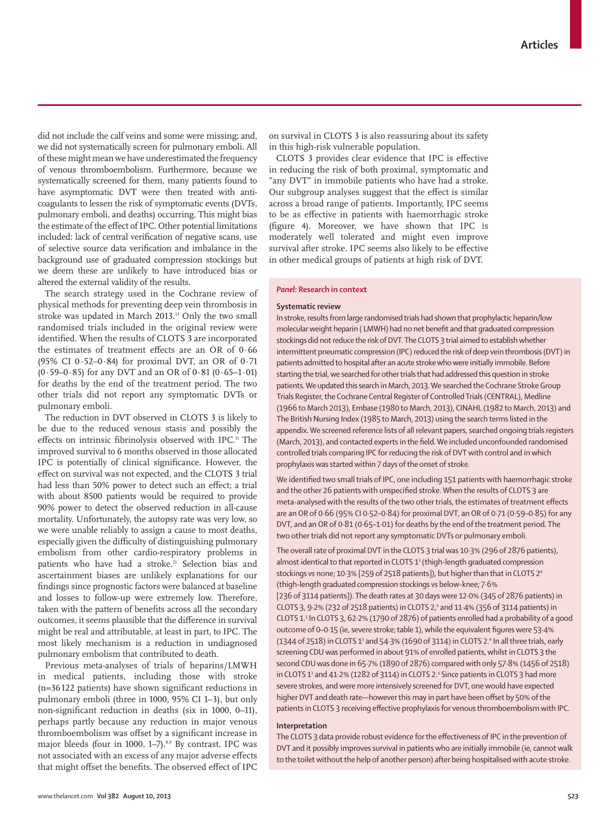did not include the calf veins and some were missing; and, we did not systematically screen for pulmonary emboli. All of these might mean we have underestimated the frequency of venous thromboembolism. Furthermore, because we systematically screened for them, many patients found to have asymptomatic DVT were then treated with anticoagulants to lessen the risk of symptomatic events (DVTs, pulmonary emboli, and deaths) occurring. This might bias the estimate of the effect of IPC. Other potential limitations included: lack of central verification of negative scans, use of selective source data verification and imbalance in the background use of graduated compression stockings but we deem these are unlikely to have introduced bias or altered the external validity of the results.

The search strategy used in the Cochrane review of physical methods for preventing deep vein thrombosis in stroke was updated in March 2013.13 Only the two small randomised trials included in the original review were identified. When the results of CLOTS 3 are incorporated the estimates of treatment effects are an OR of 0∙66 (95% CI 0∙52–0∙84) for proximal DVT, an OR of 0∙71 (0∙59–0∙85) for any DVT and an OR of 0∙81 (0∙65–1∙01) for deaths by the end of the treatment period. The two other trials did not report any symptomatic DVTs or pulmonary emboli.

The reduction in DVT observed in CLOTS 3 is likely to be due to the reduced venous stasis and possibly the effects on intrinsic fibrinolysis observed with IPC.<sup>11</sup> The improved survival to 6 months observed in those allocated IPC is potentially of clinical significance. However, the effect on survival was not expected, and the CLOTS 3 trial had less than 50% power to detect such an effect; a trial with about 8500 patients would be required to provide 90% power to detect the observed reduction in all-cause mortality. Unfortunately, the autopsy rate was very low, so we were unable reliably to assign a cause to most deaths, especially given the difficulty of distinguishing pulmonary embolism from other cardio-respiratory problems in patients who have had a stroke.<sup>21</sup> Selection bias and ascertainment biases are unlikely explanations for our findings since prognostic factors were balanced at baseline and losses to follow-up were extremely low. Therefore, taken with the pattern of benefits across all the secondary outcomes, it seems plausible that the difference in survival might be real and attributable, at least in part, to IPC. The most likely mechanism is a reduction in undiagnosed pulmonary embolism that contributed to death.

Previous meta-analyses of trials of heparins/LMWH in medical patients, including those with stroke  $(n=36 122$  patients) have shown significant reductions in pulmonary emboli (three in 1000, 95% CI 1–3), but only non-significant reduction in deaths (six in 1000, 0–11), perhaps partly because any reduction in major venous thromboembolism was offset by a significant increase in major bleeds (four in 1000, 1-7).<sup>8,9</sup> By contrast, IPC was not associated with an excess of any major adverse effects that might offset the benefits. The observed effect of IPC on survival in CLOTS 3 is also reassuring about its safety in this high-risk vulnerable population.

CLOTS 3 provides clear evidence that IPC is effective in reducing the risk of both proximal, symptomatic and "any DVT" in immobile patients who have had a stroke. Our subgroup analyses suggest that the effect is similar across a broad range of patients. Importantly, IPC seems to be as effective in patients with haemorrhagic stroke (figure 4). Moreover, we have shown that IPC is moderately well tolerated and might even improve survival after stroke. IPC seems also likely to be effective in other medical groups of patients at high risk of DVT.

#### *Panel:* **Research in context**

#### **Systematic review**

In stroke, results from large randomised trials had shown that prophylactic heparin/low molecular weight heparin (LMWH) had no net benefit and that graduated compression stockings did not reduce the risk of DVT. The CLOTS 3 trial aimed to establish whether intermittent pneumatic compression (IPC) reduced the risk of deep vein thrombosis (DVT) in patients admitted to hospital after an acute stroke who were initially immobile. Before starting the trial, we searched for other trials that had addressed this question in stroke patients. We updated this search in March, 2013. We searched the Cochrane Stroke Group Trials Register, the Cochrane Central Register of Controlled Trials (CENTRAL), Medline (1966 to March 2013), Embase (1980 to March, 2013), CINAHL (1982 to March, 2013) and The British Nursing Index (1985 to March, 2013) using the search terms listed in the appendix. We screened reference lists of all relevant papers, searched ongoing trials registers (March, 2013), and contacted experts in the field. We included unconfounded randomised controlled trials comparing IPC for reducing the risk of DVT with control and in which prophylaxis was started within 7 days of the onset of stroke.

We identified two small trials of IPC, one including 151 patients with haemorrhagic stroke and the other 26 patients with unspecified stroke. When the results of CLOTS 3 are meta-analysed with the results of the two other trials, the estimates of treatment effects are an OR of 0·66 (95% CI 0·52–0·84) for proximal DVT, an OR of 0·71 (0·59–0·85) for any DVT, and an OR of 0·81 (0·65–1·01) for deaths by the end of the treatment period. The two other trials did not report any symptomatic DVTs or pulmonary emboli.

The overall rate of proximal DVT in the CLOTS 3 trial was 10·3% (296 of 2876 patients), almost identical to that reported in CLOTS 1<sup>3</sup> (thigh-length graduated compression stockings *vs* none; 10·3% [259 of 2518 patients]), but higher than that in CLOTS 24 (thigh-length graduated compression stockings *vs* below-knee; 7·6% [236 of 3114 patients]). The death rates at 30 days were 12 $\cdot$ 0% (345 of 2876 patients) in CLOTS 3, 9.2% (232 of 2518 patients) in CLOTS 2,<sup>4</sup> and 11.4% (356 of 3114 patients) in CLOTS 1.3 In CLOTS 3, 62·2% (1790 of 2876) of patients enrolled had a probability of a good outcome of 0-0·15 (ie, severe stroke; table 1), while the equivalent figures were 53·4% (1344 of 2518) in CLOTS 1<sup>3</sup> and 54·3% (1690 of 3114) in CLOTS 2.<sup>4</sup> In all three trials, early screening CDU was performed in about 91% of enrolled patients, whilst in CLOTS 3 the second CDU was done in 65·7% (1890 of 2876) compared with only 57·8% (1456 of 2518) in CLOTS  $1^3$  and 41 $\cdot$ 2% (1282 of 3114) in CLOTS 2. $4$  Since patients in CLOTS 3 had more severe strokes, and were more intensively screened for DVT, one would have expected higher DVT and death rate-however this may in part have been offset by 50% of the patients in CLOTS 3 receiving effective prophylaxis for venous thromboembolism with IPC.

#### **Interpretation**

The CLOTS 3 data provide robust evidence for the effectiveness of IPC in the prevention of DVT and it possibly improves survival in patients who are initially immobile (ie, cannot walk to the toilet without the help of another person) after being hospitalised with acute stroke.